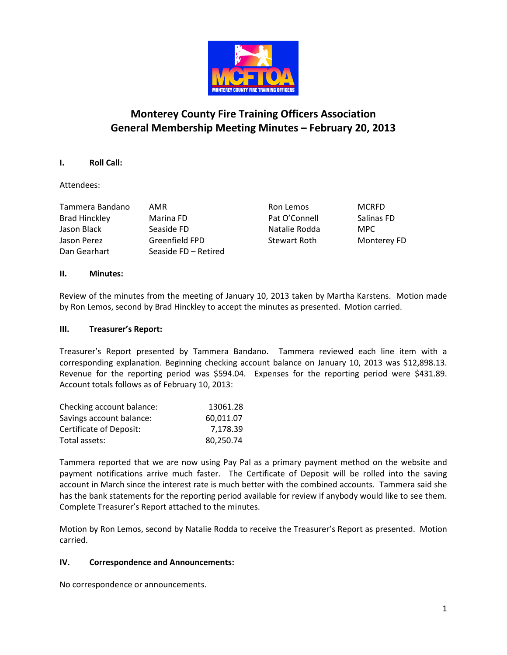

# Monterey County Fire Training Officers Association General Membership Meeting Minutes – February 20, 2013

## I. Roll Call:

## Attendees:

| AMR                  |
|----------------------|
| Marina FD            |
| Seaside FD           |
| Greenfield FPD       |
| Seaside FD - Retired |
|                      |

Ron Lemos MCRFD Pat O'Connell Salinas FD Natalie Rodda MPC Stewart Roth Monterey FD

#### II. Minutes:

Review of the minutes from the meeting of January 10, 2013 taken by Martha Karstens. Motion made by Ron Lemos, second by Brad Hinckley to accept the minutes as presented. Motion carried.

#### III. Treasurer's Report:

Treasurer's Report presented by Tammera Bandano. Tammera reviewed each line item with a corresponding explanation. Beginning checking account balance on January 10, 2013 was \$12,898.13. Revenue for the reporting period was \$594.04. Expenses for the reporting period were \$431.89. Account totals follows as of February 10, 2013:

| Checking account balance: | 13061.28  |
|---------------------------|-----------|
| Savings account balance:  | 60.011.07 |
| Certificate of Deposit:   | 7.178.39  |
| Total assets:             | 80,250.74 |

Tammera reported that we are now using Pay Pal as a primary payment method on the website and payment notifications arrive much faster. The Certificate of Deposit will be rolled into the saving account in March since the interest rate is much better with the combined accounts. Tammera said she has the bank statements for the reporting period available for review if anybody would like to see them. Complete Treasurer's Report attached to the minutes.

Motion by Ron Lemos, second by Natalie Rodda to receive the Treasurer's Report as presented. Motion carried.

#### IV. Correspondence and Announcements:

No correspondence or announcements.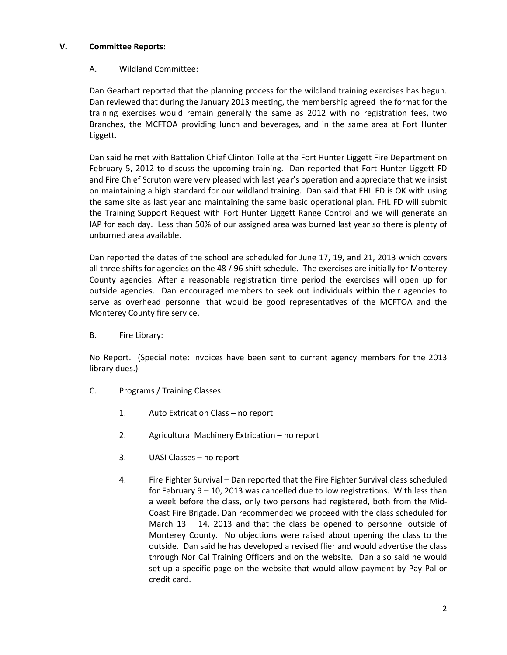## V. Committee Reports:

## A. Wildland Committee:

Dan Gearhart reported that the planning process for the wildland training exercises has begun. Dan reviewed that during the January 2013 meeting, the membership agreed the format for the training exercises would remain generally the same as 2012 with no registration fees, two Branches, the MCFTOA providing lunch and beverages, and in the same area at Fort Hunter Liggett.

Dan said he met with Battalion Chief Clinton Tolle at the Fort Hunter Liggett Fire Department on February 5, 2012 to discuss the upcoming training. Dan reported that Fort Hunter Liggett FD and Fire Chief Scruton were very pleased with last year's operation and appreciate that we insist on maintaining a high standard for our wildland training. Dan said that FHL FD is OK with using the same site as last year and maintaining the same basic operational plan. FHL FD will submit the Training Support Request with Fort Hunter Liggett Range Control and we will generate an IAP for each day. Less than 50% of our assigned area was burned last year so there is plenty of unburned area available.

Dan reported the dates of the school are scheduled for June 17, 19, and 21, 2013 which covers all three shifts for agencies on the 48 / 96 shift schedule. The exercises are initially for Monterey County agencies. After a reasonable registration time period the exercises will open up for outside agencies. Dan encouraged members to seek out individuals within their agencies to serve as overhead personnel that would be good representatives of the MCFTOA and the Monterey County fire service.

B. Fire Library:

No Report. (Special note: Invoices have been sent to current agency members for the 2013 library dues.)

- C. Programs / Training Classes:
	- 1. Auto Extrication Class no report
	- 2. Agricultural Machinery Extrication no report
	- 3. UASI Classes no report
	- 4. Fire Fighter Survival Dan reported that the Fire Fighter Survival class scheduled for February 9 – 10, 2013 was cancelled due to low registrations. With less than a week before the class, only two persons had registered, both from the Mid-Coast Fire Brigade. Dan recommended we proceed with the class scheduled for March  $13 - 14$ , 2013 and that the class be opened to personnel outside of Monterey County. No objections were raised about opening the class to the outside. Dan said he has developed a revised flier and would advertise the class through Nor Cal Training Officers and on the website. Dan also said he would set-up a specific page on the website that would allow payment by Pay Pal or credit card.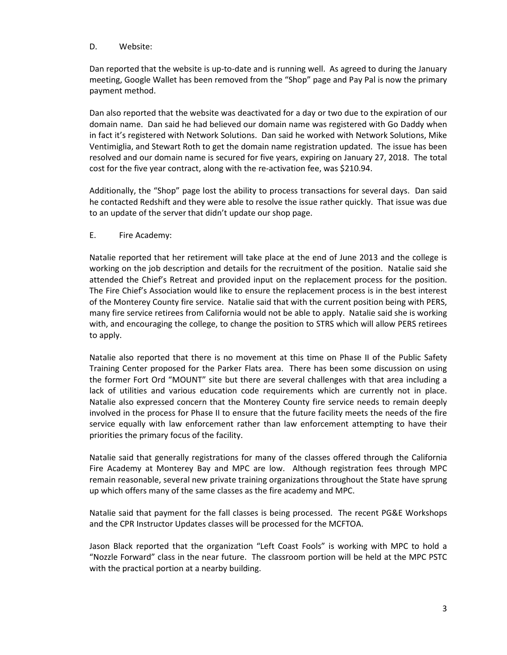#### D. Website:

Dan reported that the website is up-to-date and is running well. As agreed to during the January meeting, Google Wallet has been removed from the "Shop" page and Pay Pal is now the primary payment method.

Dan also reported that the website was deactivated for a day or two due to the expiration of our domain name. Dan said he had believed our domain name was registered with Go Daddy when in fact it's registered with Network Solutions. Dan said he worked with Network Solutions, Mike Ventimiglia, and Stewart Roth to get the domain name registration updated. The issue has been resolved and our domain name is secured for five years, expiring on January 27, 2018. The total cost for the five year contract, along with the re-activation fee, was \$210.94.

Additionally, the "Shop" page lost the ability to process transactions for several days. Dan said he contacted Redshift and they were able to resolve the issue rather quickly. That issue was due to an update of the server that didn't update our shop page.

#### E. Fire Academy:

Natalie reported that her retirement will take place at the end of June 2013 and the college is working on the job description and details for the recruitment of the position. Natalie said she attended the Chief's Retreat and provided input on the replacement process for the position. The Fire Chief's Association would like to ensure the replacement process is in the best interest of the Monterey County fire service. Natalie said that with the current position being with PERS, many fire service retirees from California would not be able to apply. Natalie said she is working with, and encouraging the college, to change the position to STRS which will allow PERS retirees to apply.

Natalie also reported that there is no movement at this time on Phase II of the Public Safety Training Center proposed for the Parker Flats area. There has been some discussion on using the former Fort Ord "MOUNT" site but there are several challenges with that area including a lack of utilities and various education code requirements which are currently not in place. Natalie also expressed concern that the Monterey County fire service needs to remain deeply involved in the process for Phase II to ensure that the future facility meets the needs of the fire service equally with law enforcement rather than law enforcement attempting to have their priorities the primary focus of the facility.

Natalie said that generally registrations for many of the classes offered through the California Fire Academy at Monterey Bay and MPC are low. Although registration fees through MPC remain reasonable, several new private training organizations throughout the State have sprung up which offers many of the same classes as the fire academy and MPC.

Natalie said that payment for the fall classes is being processed. The recent PG&E Workshops and the CPR Instructor Updates classes will be processed for the MCFTOA.

Jason Black reported that the organization "Left Coast Fools" is working with MPC to hold a "Nozzle Forward" class in the near future. The classroom portion will be held at the MPC PSTC with the practical portion at a nearby building.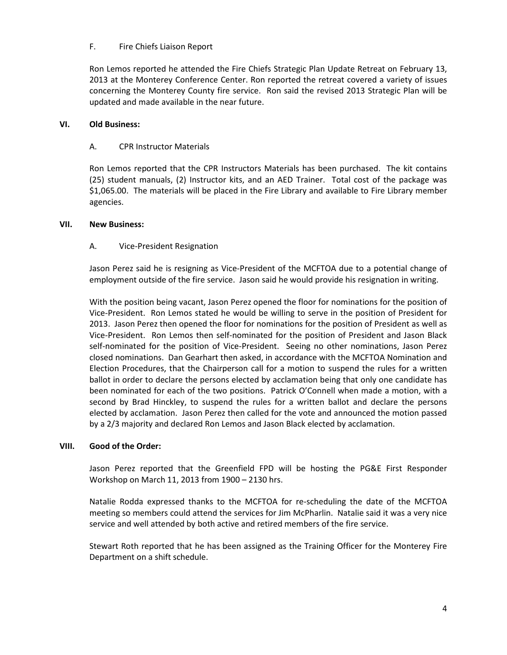## F. Fire Chiefs Liaison Report

Ron Lemos reported he attended the Fire Chiefs Strategic Plan Update Retreat on February 13, 2013 at the Monterey Conference Center. Ron reported the retreat covered a variety of issues concerning the Monterey County fire service. Ron said the revised 2013 Strategic Plan will be updated and made available in the near future.

## VI. Old Business:

## A. CPR Instructor Materials

Ron Lemos reported that the CPR Instructors Materials has been purchased. The kit contains (25) student manuals, (2) Instructor kits, and an AED Trainer. Total cost of the package was \$1,065.00. The materials will be placed in the Fire Library and available to Fire Library member agencies.

#### VII. New Business:

## A. Vice-President Resignation

Jason Perez said he is resigning as Vice-President of the MCFTOA due to a potential change of employment outside of the fire service. Jason said he would provide his resignation in writing.

With the position being vacant, Jason Perez opened the floor for nominations for the position of Vice-President. Ron Lemos stated he would be willing to serve in the position of President for 2013. Jason Perez then opened the floor for nominations for the position of President as well as Vice-President. Ron Lemos then self-nominated for the position of President and Jason Black self-nominated for the position of Vice-President. Seeing no other nominations, Jason Perez closed nominations. Dan Gearhart then asked, in accordance with the MCFTOA Nomination and Election Procedures, that the Chairperson call for a motion to suspend the rules for a written ballot in order to declare the persons elected by acclamation being that only one candidate has been nominated for each of the two positions. Patrick O'Connell when made a motion, with a second by Brad Hinckley, to suspend the rules for a written ballot and declare the persons elected by acclamation. Jason Perez then called for the vote and announced the motion passed by a 2/3 majority and declared Ron Lemos and Jason Black elected by acclamation.

#### VIII. Good of the Order:

Jason Perez reported that the Greenfield FPD will be hosting the PG&E First Responder Workshop on March 11, 2013 from 1900 – 2130 hrs.

Natalie Rodda expressed thanks to the MCFTOA for re-scheduling the date of the MCFTOA meeting so members could attend the services for Jim McPharlin. Natalie said it was a very nice service and well attended by both active and retired members of the fire service.

Stewart Roth reported that he has been assigned as the Training Officer for the Monterey Fire Department on a shift schedule.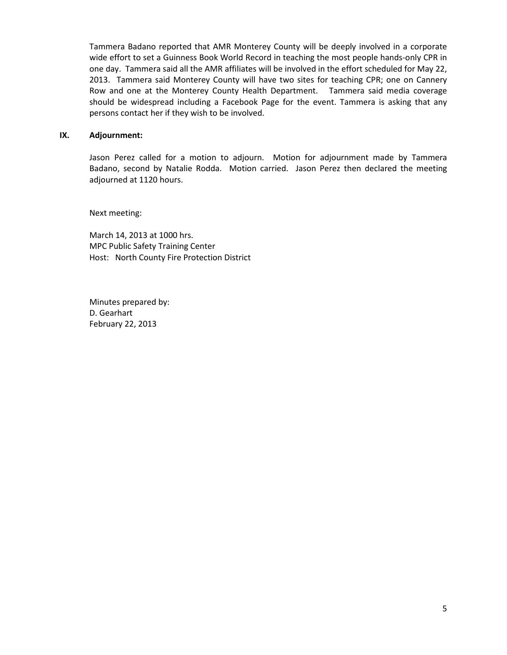Tammera Badano reported that AMR Monterey County will be deeply involved in a corporate wide effort to set a Guinness Book World Record in teaching the most people hands-only CPR in one day. Tammera said all the AMR affiliates will be involved in the effort scheduled for May 22, 2013. Tammera said Monterey County will have two sites for teaching CPR; one on Cannery Row and one at the Monterey County Health Department. Tammera said media coverage should be widespread including a Facebook Page for the event. Tammera is asking that any persons contact her if they wish to be involved.

#### IX. Adjournment:

Jason Perez called for a motion to adjourn. Motion for adjournment made by Tammera Badano, second by Natalie Rodda. Motion carried. Jason Perez then declared the meeting adjourned at 1120 hours.

Next meeting:

March 14, 2013 at 1000 hrs. MPC Public Safety Training Center Host: North County Fire Protection District

Minutes prepared by: D. Gearhart February 22, 2013